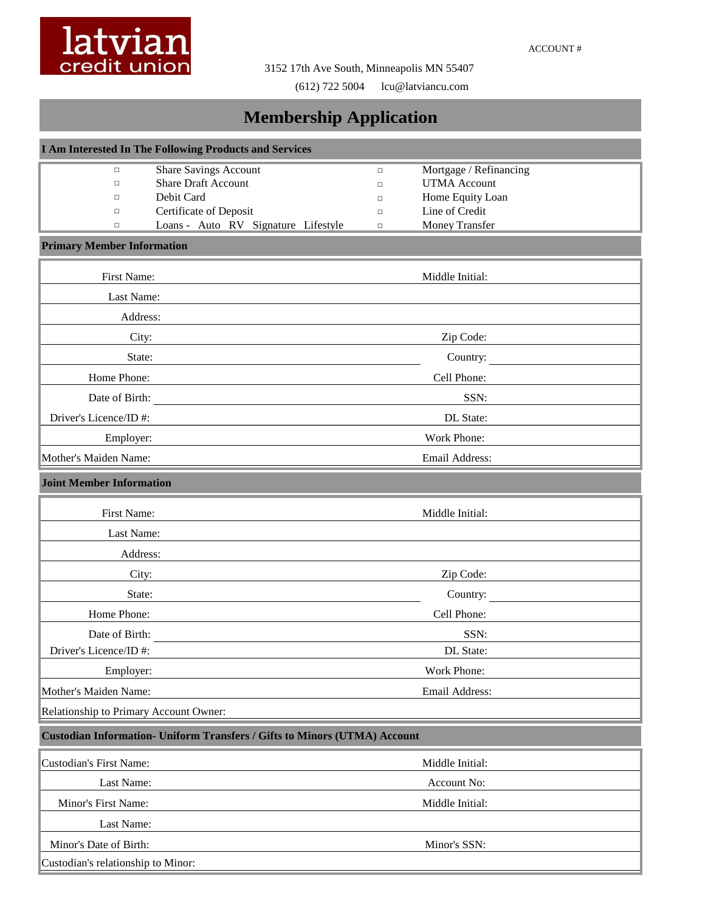

3152 17th Ave South, Minneapolis MN 55407

(612) 722 5004 lcu@latviancu.com

## **Membership Application**

| I Am Interested In The Following Products and Services |                                                                                  |                  |                                    |  |  |
|--------------------------------------------------------|----------------------------------------------------------------------------------|------------------|------------------------------------|--|--|
| $\Box$                                                 | <b>Share Savings Account</b>                                                     | $\Box$           | Mortgage / Refinancing             |  |  |
| $\Box$                                                 | <b>Share Draft Account</b>                                                       | $\Box$           | <b>UTMA</b> Account                |  |  |
| $\Box$                                                 | Debit Card                                                                       | $\Box$           | Home Equity Loan<br>Line of Credit |  |  |
| $\Box$<br>$\Box$                                       | Certificate of Deposit<br>Loans - Auto RV Signature Lifestyle                    | $\Box$<br>$\Box$ | Money Transfer                     |  |  |
| <b>Primary Member Information</b>                      |                                                                                  |                  |                                    |  |  |
| First Name:                                            |                                                                                  |                  | Middle Initial:                    |  |  |
| Last Name:                                             |                                                                                  |                  |                                    |  |  |
| Address:                                               |                                                                                  |                  |                                    |  |  |
| City:                                                  |                                                                                  |                  | Zip Code:                          |  |  |
| State:                                                 |                                                                                  |                  | Country:                           |  |  |
| Home Phone:                                            |                                                                                  |                  | Cell Phone:                        |  |  |
|                                                        | Date of Birth:                                                                   |                  | SSN:                               |  |  |
| Driver's Licence/ID#:                                  |                                                                                  |                  | DL State:                          |  |  |
| Employer:                                              |                                                                                  |                  | Work Phone:                        |  |  |
| Mother's Maiden Name:                                  |                                                                                  |                  | Email Address:                     |  |  |
| <b>Joint Member Information</b>                        |                                                                                  |                  |                                    |  |  |
| First Name:                                            |                                                                                  |                  | Middle Initial:                    |  |  |
| Last Name:                                             |                                                                                  |                  |                                    |  |  |
| Address:                                               |                                                                                  |                  |                                    |  |  |
| City:                                                  |                                                                                  |                  | Zip Code:                          |  |  |
| State:                                                 |                                                                                  |                  | Country:                           |  |  |
| Home Phone:                                            |                                                                                  |                  | Cell Phone:                        |  |  |
| Date of Birth:                                         |                                                                                  |                  | SSN:                               |  |  |
| Driver's Licence/ID#:                                  |                                                                                  |                  | DL State:                          |  |  |
| Employer:                                              |                                                                                  |                  | Work Phone:                        |  |  |
| Mother's Maiden Name:                                  |                                                                                  |                  | Email Address:                     |  |  |
| Relationship to Primary Account Owner:                 |                                                                                  |                  |                                    |  |  |
|                                                        | <b>Custodian Information- Uniform Transfers / Gifts to Minors (UTMA) Account</b> |                  |                                    |  |  |
| <b>Custodian's First Name:</b>                         |                                                                                  |                  | Middle Initial:                    |  |  |
| Last Name:                                             |                                                                                  |                  | Account No:                        |  |  |
| Minor's First Name:                                    |                                                                                  |                  | Middle Initial:                    |  |  |
| Last Name:                                             |                                                                                  |                  |                                    |  |  |
| Minor's Date of Birth:                                 |                                                                                  |                  | Minor's SSN:                       |  |  |
| Custodian's relationship to Minor:                     |                                                                                  |                  |                                    |  |  |